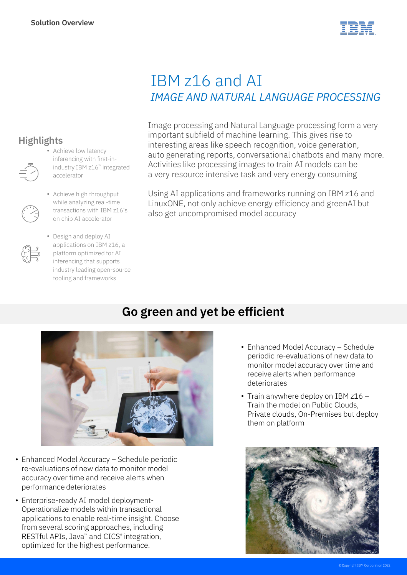

## IBM z16 and AI *IMAGE AND NATURAL LANGUAGE PROCESSING*

Image processing and Natural Language processing form a very important subfield of machine learning. This gives rise to interesting areas like speech recognition, voice generation, auto generating reports, conversational chatbots and many more. Activities like processing images to train AI models can be a very resource intensive task and very energy consuming

Using AI applications and frameworks running on IBM z16 and LinuxONE, not only achieve energy efficiency and greenAI but also get uncompromised model accuracy

## **Go green and yet be efficient**



- Enhanced Model Accuracy Schedule periodic re-evaluations of new data to monitor model accuracy over time and receive alerts when performance deteriorates
- Enterprise-ready AI model deployment-Operationalize models within transactional applications to enable real-time insight. Choose from several scoring approaches, including RESTful APIs, Java™ and CICS® integration, optimized for the highest performance.
- Enhanced Model Accuracy Schedule periodic re-evaluations of new data to monitor model accuracy over time and receive alerts when performance deteriorates
- Train anywhere deploy on IBM z16 -Train the model on Public Clouds, Private clouds, On-Premises but deploy them on platform



## **Highlights**



- Achieve low latency inferencing with first-inindustry IBM z16™ integrated accelerator
- Achieve high throughput while analyzing real-time transactions with IBM z16's on chip AI accelerator
- Design and deploy AI applications on IBM z16, a platform optimized for AI inferencing that supports industry leading open-source tooling and frameworks